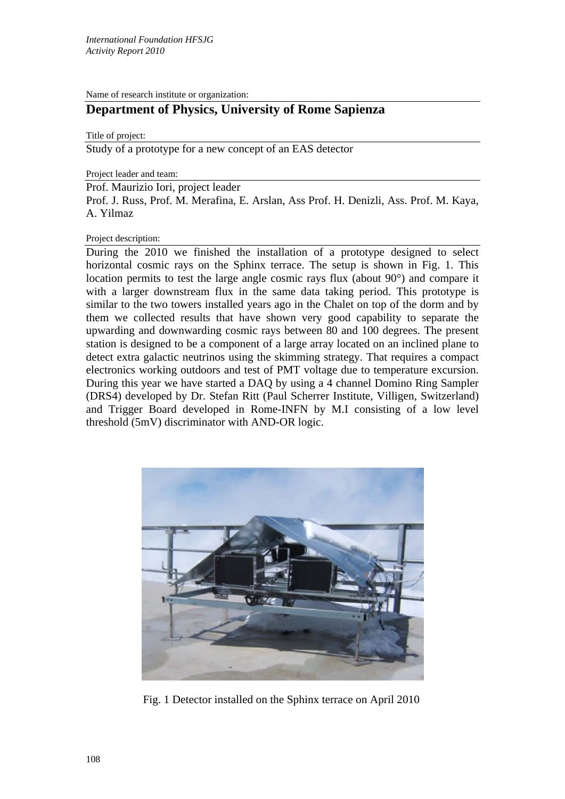Name of research institute or organization:

## **Department of Physics, University of Rome Sapienza**

Title of project:

Study of a prototype for a new concept of an EAS detector

Project leader and team:

Prof. Maurizio Iori, project leader

Prof. J. Russ, Prof. M. Merafina, E. Arslan, Ass Prof. H. Denizli, Ass. Prof. M. Kaya, A. Yilmaz

## Project description:

During the 2010 we finished the installation of a prototype designed to select horizontal cosmic rays on the Sphinx terrace. The setup is shown in Fig. 1. This location permits to test the large angle cosmic rays flux (about 90°) and compare it with a larger downstream flux in the same data taking period. This prototype is similar to the two towers installed years ago in the Chalet on top of the dorm and by them we collected results that have shown very good capability to separate the upwarding and downwarding cosmic rays between 80 and 100 degrees. The present station is designed to be a component of a large array located on an inclined plane to detect extra galactic neutrinos using the skimming strategy. That requires a compact electronics working outdoors and test of PMT voltage due to temperature excursion. During this year we have started a DAQ by using a 4 channel Domino Ring Sampler (DRS4) developed by Dr. Stefan Ritt (Paul Scherrer Institute, Villigen, Switzerland) and Trigger Board developed in Rome-INFN by M.I consisting of a low level threshold (5mV) discriminator with AND-OR logic.



Fig. 1 Detector installed on the Sphinx terrace on April 2010